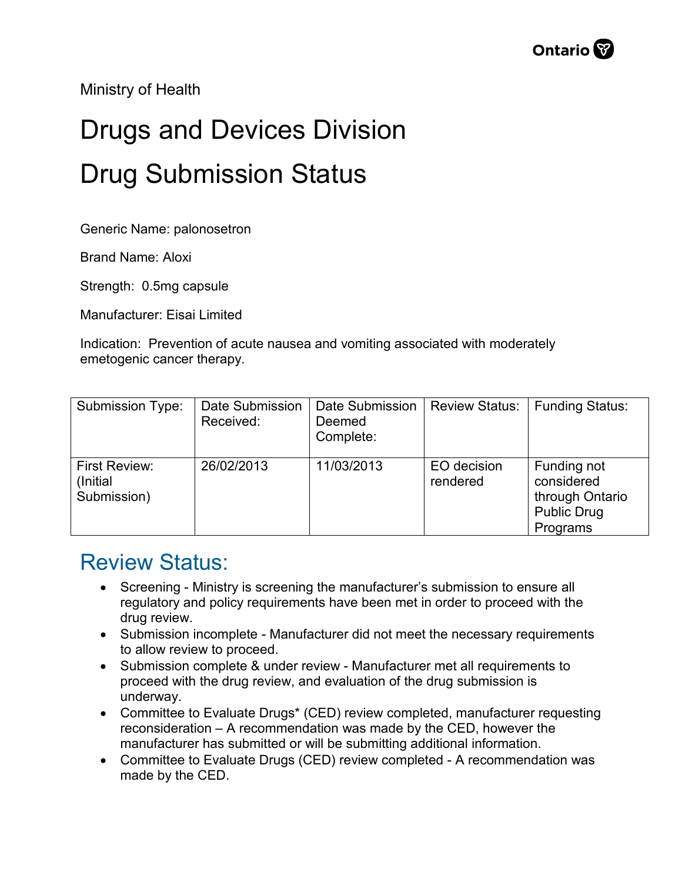Ministry of Health

## Drugs and Devices Division Drug Submission Status

Generic Name: palonosetron

Brand Name: Aloxi

Strength: 0.5mg capsule

Manufacturer: Eisai Limited

Indication: Prevention of acute nausea and vomiting associated with moderately emetogenic cancer therapy.

| <b>Submission Type:</b>                          | Date Submission<br>Received: | Date Submission<br>Deemed<br>Complete: | <b>Review Status:</b>   | Funding Status:                                                                |
|--------------------------------------------------|------------------------------|----------------------------------------|-------------------------|--------------------------------------------------------------------------------|
| <b>First Review:</b><br>(Initial)<br>Submission) | 26/02/2013                   | 11/03/2013                             | EO decision<br>rendered | Funding not<br>considered<br>through Ontario<br><b>Public Drug</b><br>Programs |

## Review Status:

- Screening Ministry is screening the manufacturer's submission to ensure all regulatory and policy requirements have been met in order to proceed with the drug review.
- Submission incomplete Manufacturer did not meet the necessary requirements to allow review to proceed.
- Submission complete & under review Manufacturer met all requirements to proceed with the drug review, and evaluation of the drug submission is underway.
- Committee to Evaluate Drugs\* (CED) review completed, manufacturer requesting reconsideration – A recommendation was made by the CED, however the manufacturer has submitted or will be submitting additional information.
- Committee to Evaluate Drugs (CED) review completed A recommendation was made by the CED.